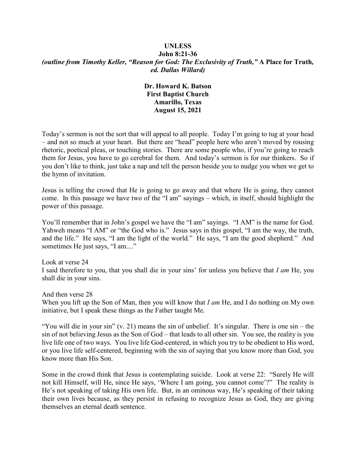#### **UNLESS John 8:21-36** *(outline from Timothy Keller, "Reason for God: The Exclusivity of Truth,"* **A Place for Truth***, ed. Dallas Willard)*

### **Dr. Howard K. Batson First Baptist Church Amarillo, Texas August 15, 2021**

Today's sermon is not the sort that will appeal to all people. Today I'm going to tug at your head – and not so much at your heart. But there are "head" people here who aren't moved by rousing rhetoric, poetical pleas, or touching stories. There are some people who, if you're going to reach them for Jesus, you have to go cerebral for them. And today's sermon is for our thinkers. So if you don't like to think, just take a nap and tell the person beside you to nudge you when we get to the hymn of invitation.

Jesus is telling the crowd that He is going to go away and that where He is going, they cannot come. In this passage we have two of the "I am" sayings – which, in itself, should highlight the power of this passage.

You'll remember that in John's gospel we have the "I am" sayings. "I AM" is the name for God. Yahweh means "I AM" or "the God who is." Jesus says in this gospel, "I am the way, the truth, and the life." He says, "I am the light of the world." He says, "I am the good shepherd." And sometimes He just says, "I am...."

Look at verse 24 I said therefore to you, that you shall die in your sins' for unless you believe that *I am* He, you shall die in your sins.

And then verse 28 When you lift up the Son of Man, then you will know that *I am* He, and I do nothing on My own initiative, but I speak these things as the Father taught Me.

"You will die in your sin"  $(v, 21)$  means the sin of unbelief. It's singular. There is one sin – the sin of not believing Jesus as the Son of God – that leads to all other sin. You see, the reality is you live life one of two ways. You live life God-centered, in which you try to be obedient to His word, or you live life self-centered, beginning with the sin of saying that you know more than God, you know more than His Son.

Some in the crowd think that Jesus is contemplating suicide. Look at verse 22: "Surely He will not kill Himself, will He, since He says, 'Where I am going, you cannot come'?" The reality is He's not speaking of taking His own life. But, in an ominous way, He's speaking of their taking their own lives because, as they persist in refusing to recognize Jesus as God, they are giving themselves an eternal death sentence.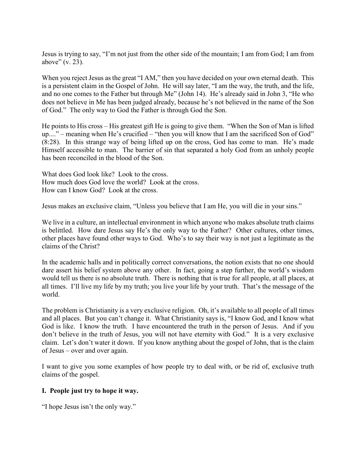Jesus is trying to say, "I'm not just from the other side of the mountain; I am from God; I am from above" (v. 23).

When you reject Jesus as the great "I AM," then you have decided on your own eternal death. This is a persistent claim in the Gospel of John. He will say later, "I am the way, the truth, and the life, and no one comes to the Father but through Me" (John 14). He's already said in John 3, "He who does not believe in Me has been judged already, because he's not believed in the name of the Son of God." The only way to God the Father is through God the Son.

He points to His cross – His greatest gift He is going to give them. "When the Son of Man is lifted up...." – meaning when He's crucified – "then you will know that I am the sacrificed Son of God" (8:28). In this strange way of being lifted up on the cross, God has come to man. He's made Himself accessible to man. The barrier of sin that separated a holy God from an unholy people has been reconciled in the blood of the Son.

What does God look like? Look to the cross. How much does God love the world? Look at the cross. How can I know God? Look at the cross.

Jesus makes an exclusive claim, "Unless you believe that I am He, you will die in your sins."

We live in a culture, an intellectual environment in which anyone who makes absolute truth claims is belittled. How dare Jesus say He's the only way to the Father? Other cultures, other times, other places have found other ways to God. Who's to say their way is not just a legitimate as the claims of the Christ?

In the academic halls and in politically correct conversations, the notion exists that no one should dare assert his belief system above any other. In fact, going a step further, the world's wisdom would tell us there is no absolute truth. There is nothing that is true for all people, at all places, at all times. I'll live my life by my truth; you live your life by your truth. That's the message of the world.

The problem is Christianity is a very exclusive religion. Oh, it's available to all people of all times and all places. But you can't change it. What Christianity says is, "I know God, and I know what God is like. I know the truth. I have encountered the truth in the person of Jesus. And if you don't believe in the truth of Jesus, you will not have eternity with God." It is a very exclusive claim. Let's don't water it down. If you know anything about the gospel of John, that is the claim of Jesus – over and over again.

I want to give you some examples of how people try to deal with, or be rid of, exclusive truth claims of the gospel.

#### **I. People just try to hope it way.**

"I hope Jesus isn't the only way."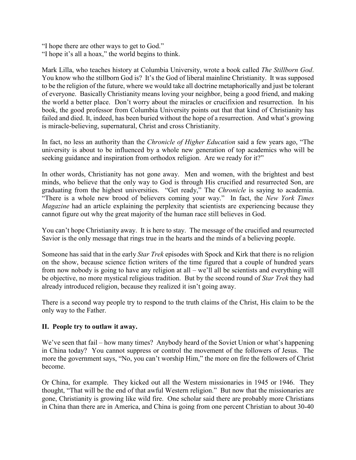"I hope there are other ways to get to God." "I hope it's all a hoax," the world begins to think.

Mark Lilla, who teaches history at Columbia University, wrote a book called *The Stillborn God*. You know who the stillborn God is? It's the God of liberal mainline Christianity. It was supposed to be the religion of the future, where we would take all doctrine metaphorically and just be tolerant of everyone. Basically Christianity means loving your neighbor, being a good friend, and making the world a better place. Don't worry about the miracles or crucifixion and resurrection. In his book, the good professor from Columbia University points out that that kind of Christianity has failed and died. It, indeed, has been buried without the hope of a resurrection. And what's growing is miracle-believing, supernatural, Christ and cross Christianity.

In fact, no less an authority than the *Chronicle of Higher Education* said a few years ago, "The university is about to be influenced by a whole new generation of top academics who will be seeking guidance and inspiration from orthodox religion. Are we ready for it?"

In other words, Christianity has not gone away. Men and women, with the brightest and best minds, who believe that the only way to God is through His crucified and resurrected Son, are graduating from the highest universities. "Get ready," The *Chronicle* is saying to academia. "There is a whole new brood of believers coming your way." In fact, the *New York Times Magazine* had an article explaining the perplexity that scientists are experiencing because they cannot figure out why the great majority of the human race still believes in God.

You can't hope Christianity away. It is here to stay. The message of the crucified and resurrected Savior is the only message that rings true in the hearts and the minds of a believing people.

Someone has said that in the early *Star Trek* episodes with Spock and Kirk that there is no religion on the show, because science fiction writers of the time figured that a couple of hundred years from now nobody is going to have any religion at all – we'll all be scientists and everything will be objective, no more mystical religious tradition. But by the second round of *Star Trek* they had already introduced religion, because they realized it isn't going away.

There is a second way people try to respond to the truth claims of the Christ, His claim to be the only way to the Father.

#### **II. People try to outlaw it away.**

We've seen that fail – how many times? Anybody heard of the Soviet Union or what's happening in China today? You cannot suppress or control the movement of the followers of Jesus. The more the government says, "No, you can't worship Him," the more on fire the followers of Christ become.

Or China, for example. They kicked out all the Western missionaries in 1945 or 1946. They thought, "That will be the end of that awful Western religion." But now that the missionaries are gone, Christianity is growing like wild fire. One scholar said there are probably more Christians in China than there are in America, and China is going from one percent Christian to about 30-40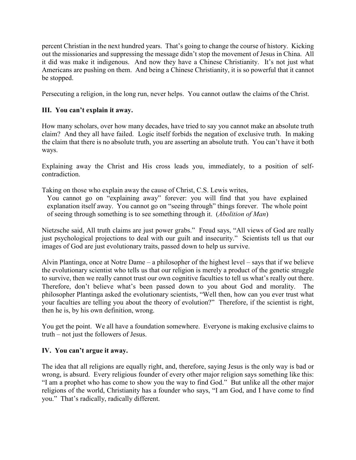percent Christian in the next hundred years. That's going to change the course of history. Kicking out the missionaries and suppressing the message didn't stop the movement of Jesus in China. All it did was make it indigenous. And now they have a Chinese Christianity. It's not just what Americans are pushing on them. And being a Chinese Christianity, it is so powerful that it cannot be stopped.

Persecuting a religion, in the long run, never helps. You cannot outlaw the claims of the Christ.

# **III. You can't explain it away.**

How many scholars, over how many decades, have tried to say you cannot make an absolute truth claim? And they all have failed. Logic itself forbids the negation of exclusive truth. In making the claim that there is no absolute truth, you are asserting an absolute truth. You can't have it both ways.

Explaining away the Christ and His cross leads you, immediately, to a position of selfcontradiction.

Taking on those who explain away the cause of Christ, C.S. Lewis writes,

You cannot go on "explaining away" forever: you will find that you have explained explanation itself away. You cannot go on "seeing through" things forever. The whole point of seeing through something is to see something through it. (*Abolition of Man*)

Nietzsche said, All truth claims are just power grabs." Freud says, "All views of God are really just psychological projections to deal with our guilt and insecurity." Scientists tell us that our images of God are just evolutionary traits, passed down to help us survive.

Alvin Plantinga, once at Notre Dame – a philosopher of the highest level – says that if we believe the evolutionary scientist who tells us that our religion is merely a product of the genetic struggle to survive, then we really cannot trust our own cognitive faculties to tell us what's really out there. Therefore, don't believe what's been passed down to you about God and morality. The philosopher Plantinga asked the evolutionary scientists, "Well then, how can you ever trust what your faculties are telling you about the theory of evolution?" Therefore, if the scientist is right, then he is, by his own definition, wrong.

You get the point. We all have a foundation somewhere. Everyone is making exclusive claims to truth – not just the followers of Jesus.

## **IV. You can't argue it away.**

The idea that all religions are equally right, and, therefore, saying Jesus is the only way is bad or wrong, is absurd. Every religious founder of every other major religion says something like this: "I am a prophet who has come to show you the way to find God." But unlike all the other major religions of the world, Christianity has a founder who says, "I am God, and I have come to find you." That's radically, radically different.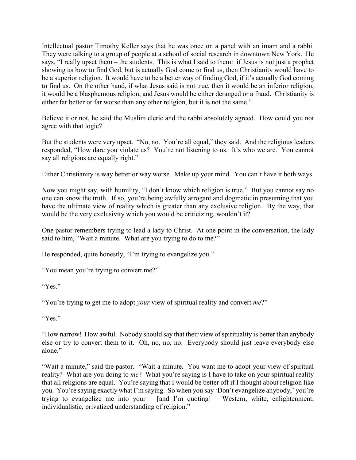Intellectual pastor Timothy Keller says that he was once on a panel with an imam and a rabbi. They were talking to a group of people at a school of social research in downtown New York. He says, "I really upset them – the students. This is what I said to them: if Jesus is not just a prophet showing us how to find God, but is actually God come to find us, then Christianity would have to be a superior religion. It would have to be a better way of finding God, if it's actually God coming to find us. On the other hand, if what Jesus said is not true, then it would be an inferior religion, it would be a blasphemous religion, and Jesus would be either deranged or a fraud. Christianity is either far better or far worse than any other religion, but it is not the same."

Believe it or not, he said the Muslim cleric and the rabbi absolutely agreed. How could you not agree with that logic?

But the students were very upset. "No, no. You're all equal," they said. And the religious leaders responded, "How dare you violate us? You're not listening to us. It's who we are. You cannot say all religions are equally right."

Either Christianity is way better or way worse. Make up your mind. You can't have it both ways.

Now you might say, with humility, "I don't know which religion is true." But you cannot say no one can know the truth. If so, you're being awfully arrogant and dogmatic in presuming that you have the ultimate view of reality which is greater than any exclusive religion. By the way, that would be the very exclusivity which you would be criticizing, wouldn't it?

One pastor remembers trying to lead a lady to Christ. At one point in the conversation, the lady said to him, "Wait a minute. What are you trying to do to me?"

He responded, quite honestly, "I'm trying to evangelize you."

"You mean you're trying to convert me?"

"Yes."

"You're trying to get me to adopt *your* view of spiritual reality and convert *me*?"

"Yes."

"How narrow! How awful. Nobody should say that their view of spirituality is better than anybody else or try to convert them to it. Oh, no, no, no. Everybody should just leave everybody else alone."

"Wait a minute," said the pastor. "Wait a minute. You want me to adopt your view of spiritual reality? What are you doing to *me*? What you're saying is I have to take on your spiritual reality that all religions are equal. You're saying that I would be better off if I thought about religion like you. You're saying exactly what I'm saying. So when you say 'Don't evangelize anybody,' you're trying to evangelize me into your – [and I'm quoting] – Western, white, enlightenment, individualistic, privatized understanding of religion."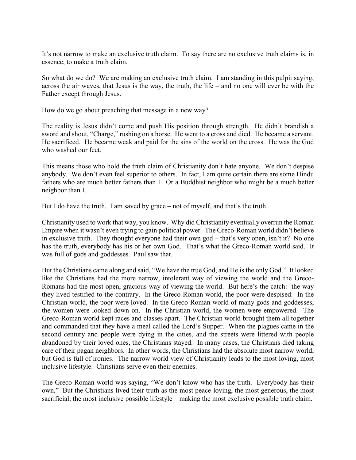It's not narrow to make an exclusive truth claim. To say there are no exclusive truth claims is, in essence, to make a truth claim.

So what do we do? We are making an exclusive truth claim. I am standing in this pulpit saying, across the air waves, that Jesus is the way, the truth, the life – and no one will ever be with the Father except through Jesus.

How do we go about preaching that message in a new way?

The reality is Jesus didn't come and push His position through strength. He didn't brandish a sword and shout, "Charge," rushing on a horse. He went to a cross and died. He became a servant. He sacrificed. He became weak and paid for the sins of the world on the cross. He was the God who washed our feet.

This means those who hold the truth claim of Christianity don't hate anyone. We don't despise anybody. We don't even feel superior to others. In fact, I am quite certain there are some Hindu fathers who are much better fathers than I. Or a Buddhist neighbor who might be a much better neighbor than I.

But I do have the truth. I am saved by grace – not of myself, and that's the truth.

Christianity used to work that way, you know. Why did Christianity eventually overrun the Roman Empire when it wasn't even trying to gain political power. The Greco-Roman world didn't believe in exclusive truth. They thought everyone had their own god – that's very open, isn't it? No one has the truth, everybody has his or her own God. That's what the Greco-Roman world said. It was full of gods and goddesses. Paul saw that.

But the Christians came along and said, "We have the true God, and He is the only God." It looked like the Christians had the more narrow, intolerant way of viewing the world and the Greco-Romans had the most open, gracious way of viewing the world. But here's the catch: the way they lived testified to the contrary. In the Greco-Roman world, the poor were despised. In the Christian world, the poor were loved. In the Greco-Roman world of many gods and goddesses, the women were looked down on. In the Christian world, the women were empowered. The Greco-Roman world kept races and classes apart. The Christian world brought them all together and commanded that they have a meal called the Lord's Supper. When the plagues came in the second century and people were dying in the cities, and the streets were littered with people abandoned by their loved ones, the Christians stayed. In many cases, the Christians died taking care of their pagan neighbors. In other words, the Christians had the absolute most narrow world, but God is full of ironies. The narrow world view of Christianity leads to the most loving, most inclusive lifestyle. Christians serve even their enemies.

The Greco-Roman world was saying, "We don't know who has the truth. Everybody has their own." But the Christians lived their truth as the most peace-loving, the most generous, the most sacrificial, the most inclusive possible lifestyle – making the most exclusive possible truth claim.